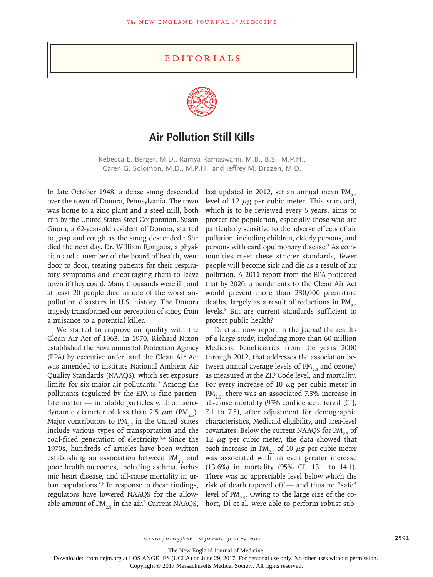## **EDITORIALS**



## **Air Pollution Still Kills**

Rebecca E. Berger, M.D., Ramya Ramaswami, M.B., B.S., M.P.H., Caren G. Solomon, M.D., M.P.H., and Jeffrey M. Drazen, M.D.

In late October 1948, a dense smog descended over the town of Donora, Pennsylvania. The town was home to a zinc plant and a steel mill, both run by the United States Steel Corporation. Susan Gnora, a 62-year-old resident of Donora, started to gasp and cough as the smog descended.<sup>1</sup> She died the next day. Dr. William Rongaus, a physician and a member of the board of health, went door to door, treating patients for their respiratory symptoms and encouraging them to leave town if they could. Many thousands were ill, and at least 20 people died in one of the worst airpollution disasters in U.S. history. The Donora tragedy transformed our perception of smog from a nuisance to a potential killer.

We started to improve air quality with the Clean Air Act of 1963. In 1970, Richard Nixon established the Environmental Protection Agency (EPA) by executive order, and the Clean Air Act was amended to institute National Ambient Air Quality Standards (NAAQS), which set exposure limits for six major air pollutants.<sup>2</sup> Among the pollutants regulated by the EPA is fine particulate matter — inhalable particles with an aerodynamic diameter of less than 2.5  $\mu$ m (PM<sub>2.5</sub>). Major contributors to  $PM_{25}$  in the United States include various types of transportation and the coal-fired generation of electricity.3,4 Since the 1970s, hundreds of articles have been written establishing an association between  $PM_{2.5}$  and poor health outcomes, including asthma, ischemic heart disease, and all-cause mortality in urban populations.<sup>5,6</sup> In response to these findings, regulators have lowered NAAQS for the allowable amount of  $PM_{2.5}$  in the air.<sup>7</sup> Current NAAQS,

last updated in 2012, set an annual mean  $PM_{2.5}$ level of 12  $\mu$ g per cubic meter. This standard, which is to be reviewed every 5 years, aims to protect the population, especially those who are particularly sensitive to the adverse effects of air pollution, including children, elderly persons, and persons with cardiopulmonary disease.<sup>2</sup> As communities meet these stricter standards, fewer people will become sick and die as a result of air pollution. A 2011 report from the EPA projected that by 2020, amendments to the Clean Air Act would prevent more than 230,000 premature deaths, largely as a result of reductions in  $PM_{2.5}$ levels.8 But are current standards sufficient to protect public health?

Di et al. now report in the *Journal* the results of a large study, including more than 60 million Medicare beneficiaries from the years 2000 through 2012, that addresses the association between annual average levels of  $PM_{25}$  and ozone,<sup>9</sup> as measured at the ZIP Code level, and mortality. For every increase of 10  $\mu$ g per cubic meter in  $PM_{25}$ , there was an associated 7.3% increase in all-cause mortality (95% confidence interval [CI], 7.1 to 7.5), after adjustment for demographic characteristics, Medicaid eligibility, and area-level covariates. Below the current NAAQS for  $PM_{2.5}$  of 12  $\mu$ g per cubic meter, the data showed that each increase in PM<sub>25</sub> of 10  $\mu$ g per cubic meter was associated with an even greater increase (13.6%) in mortality (95% CI, 13.1 to 14.1). There was no appreciable level below which the risk of death tapered off — and thus no "safe" level of  $PM_{25}$ . Owing to the large size of the cohort, Di et al. were able to perform robust sub-

n engl j med 376;26 nejm.org June 29, 2017 2591

The New England Journal of Medicine

Downloaded from nejm.org at LOS ANGELES (UCLA) on June 29, 2017. For personal use only. No other uses without permission.

Copyright © 2017 Massachusetts Medical Society. All rights reserved.